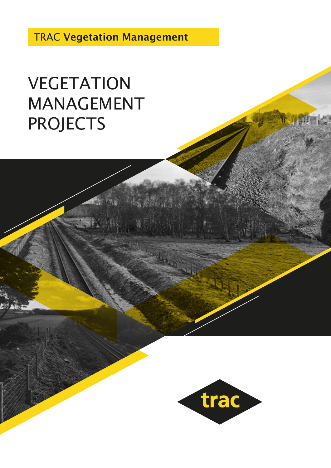TRAC Vegetation Management

## VEGETATION MANAGEMENT PROJECTS

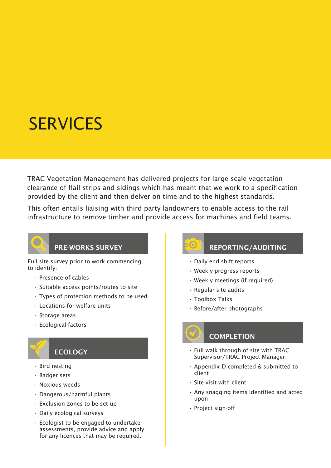## **SERVICES**

TRAC Vegetation Management has delivered projects for large scale vegetation clearance of flail strips and sidings which has meant that we work to a specification provided by the client and then delver on time and to the highest standards.

This often entails liaising with third party landowners to enable access to the rail infrastructure to remove timber and provide access for machines and field teams.



#### PRE-WORKS SURVEY

Full site survey prior to work commencing to identify:

- Presence of cables
- Suitable access points/routes to site
- Types of protection methods to be used
- Locations for welfare units
- Storage areas
- Ecological factors



### **ECOLOGY**

- Bird nesting
- Badger sets
- Noxious weeds
- Dangerous/harmful plants
- Exclusion zones to be set up
- Daily ecological surveys
- Ecologist to be engaged to undertake assessments, provide advice and apply for any licences that may be required.



### REPORTING/AUDITING

- Daily end shift reports
- Weekly progress reports
- Weekly meetings (if required)
- Regular site audits
- Toolbox Talks
- Before/after photographs



### **COMPLETION**

- Full walk through of site with TRAC Supervisor/TRAC Project Manager
- Appendix D completed & submitted to client
- Site visit with client
- Any snagging items identified and acted upon
- Project sign-off